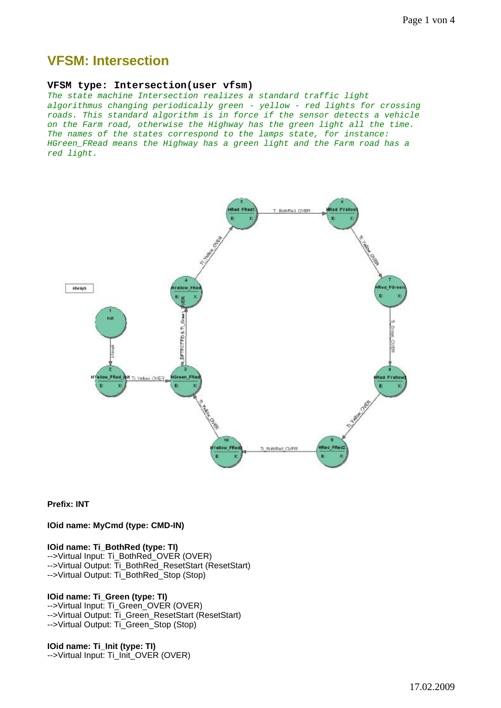# **VFSM: Intersection**

#### **VFSM type: Intersection(user vfsm)**

*The state machine Intersection realizes a standard traffic light algorithmus changing periodically green - yellow - red lights for crossing roads. This standard algorithm is in force if the sensor detects a vehicle on the Farm road, otherwise the Highway has the green light all the time. The names of the states correspond to the lamps state, for instance: HGreen\_FRead means the Highway has a green light and the Farm road has a red light.* 



**Prefix: INT**

**IOid name: MyCmd (type: CMD-IN)** 

#### **IOid name: Ti\_BothRed (type: TI)**

-->Virtual Input: Ti\_BothRed\_OVER (OVER) -->Virtual Output: Ti\_BothRed\_ResetStart (ResetStart) -->Virtual Output: Ti\_BothRed\_Stop (Stop)

### **IOid name: Ti\_Green (type: TI)**

-->Virtual Input: Ti\_Green\_OVER (OVER) -->Virtual Output: Ti\_Green\_ResetStart (ResetStart) -->Virtual Output: Ti\_Green\_Stop (Stop)

# **IOid name: Ti\_Init (type: TI)**

-->Virtual Input: Ti\_Init\_OVER (OVER)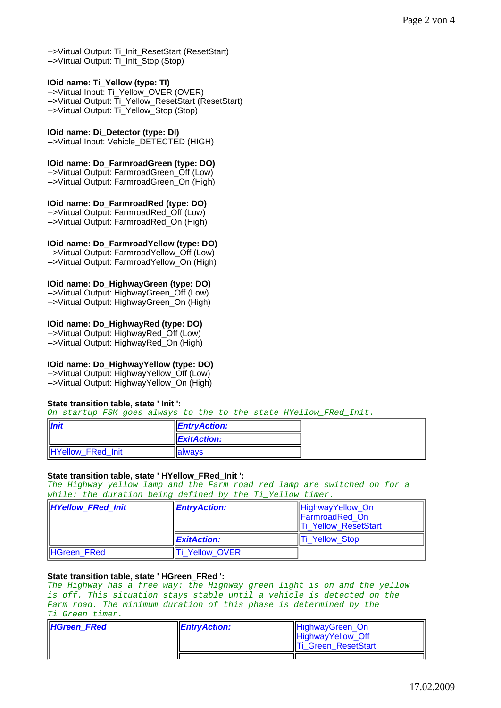-->Virtual Output: Ti\_Init\_ResetStart (ResetStart) -->Virtual Output: Ti\_Init\_Stop (Stop)

# **IOid name: Ti\_Yellow (type: TI)**

-->Virtual Input: Ti\_Yellow\_OVER (OVER) -->Virtual Output: Ti\_Yellow\_ResetStart (ResetStart) -->Virtual Output: Ti\_Yellow\_Stop (Stop)

# **IOid name: Di\_Detector (type: DI)**

-->Virtual Input: Vehicle\_DETECTED (HIGH)

#### **IOid name: Do\_FarmroadGreen (type: DO)**

-->Virtual Output: FarmroadGreen Off (Low) -->Virtual Output: FarmroadGreen\_On (High)

# **IOid name: Do\_FarmroadRed (type: DO)**

-->Virtual Output: FarmroadRed\_Off (Low) -->Virtual Output: FarmroadRed\_On (High)

# **IOid name: Do\_FarmroadYellow (type: DO)**

-->Virtual Output: FarmroadYellow Off (Low) -->Virtual Output: FarmroadYellow\_On (High)

# **IOid name: Do\_HighwayGreen (type: DO)**

-->Virtual Output: HighwayGreen\_Off (Low) -->Virtual Output: HighwayGreen\_On (High)

## **IOid name: Do\_HighwayRed (type: DO)**

-->Virtual Output: HighwayRed\_Off (Low) -->Virtual Output: HighwayRed\_On (High)

# **IOid name: Do\_HighwayYellow (type: DO)**

-->Virtual Output: HighwayYellow\_Off (Low) -->Virtual Output: HighwayYellow\_On (High)

#### **State transition table, state ' Init ':**

*On startup FSM goes always to the to the state HYellow\_FRed\_Init.*

| <b>Init</b>       | <b>EntryAction:</b>     |  |
|-------------------|-------------------------|--|
|                   | $\parallel$ ExitAction: |  |
| HYellow_FRed_Init | <b>Ilalwavs</b>         |  |

# **State transition table, state ' HYellow\_FRed\_Init ':**

*The Highway yellow lamp and the Farm road red lamp are switched on for a while: the duration being defined by the Ti\_Yellow timer.*

| <b>HYellow FRed Init</b> | $\parallel$ <i>EntryAction:</i> | HighwayYellow_On<br>FarmroadRed On<br><b>Ti Yellow ResetStart</b> |
|--------------------------|---------------------------------|-------------------------------------------------------------------|
|                          | <b>ExitAction:</b>              | <b>Ti Yellow Stop</b>                                             |
| HGreen_FRed              | Ti Yellow OVER                  |                                                                   |

# **State transition table, state ' HGreen\_FRed ':**

*The Highway has a free way: the Highway green light is on and the yellow is off. This situation stays stable until a vehicle is detected on the Farm road. The minimum duration of this phase is determined by the Ti\_Green timer.*

| <b>HGreen FRed</b> | $\parallel$ <i>EntryAction:</i> | <b>HighwayGreen On</b><br>HighwayYellow_Off<br><b>Ti</b> Green_ResetStart |
|--------------------|---------------------------------|---------------------------------------------------------------------------|
|                    |                                 |                                                                           |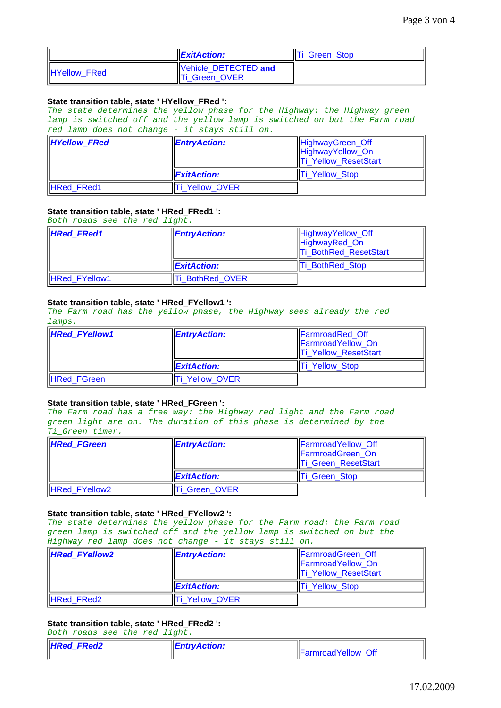|                     | $\mathsf{ExitAction}:$                       | Ti Green Stop |
|---------------------|----------------------------------------------|---------------|
| <b>HYellow FRed</b> | Vehicle DETECTED and<br><b>Ti Green OVER</b> |               |

#### **State transition table, state ' HYellow\_FRed ':**

*The state determines the yellow phase for the Highway: the Highway green lamp is switched off and the yellow lamp is switched on but the Farm road red lamp does not change - it stays still on.*

| <b>HYellow_FRed</b> | <b>EntryAction:</b>  | HighwayGreen_Off<br>HighwayYellow_On<br>Ti_Yellow_ResetStart |
|---------------------|----------------------|--------------------------------------------------------------|
|                     | <b>I</b> ExitAction: | <b>Ti Yellow Stop</b>                                        |
| <b>HRed FRed1</b>   | Ti Yellow OVER       |                                                              |

### **State transition table, state ' HRed\_FRed1 ':**

*Both roads see the red light.*

| <b>HRed FRed1</b>    | <b>EntryAction:</b>   | HighwayYellow_Off<br>HighwayRed_On<br><b>Ti BothRed ResetStart</b> |
|----------------------|-----------------------|--------------------------------------------------------------------|
|                      | <b>I</b> ExitAction:  | <b>Ti BothRed Stop</b>                                             |
| <b>HRed FYellow1</b> | <b>i BothRed OVER</b> |                                                                    |

### **State transition table, state ' HRed\_FYellow1 ':**

*The Farm road has the yellow phase, the Highway sees already the red lamps.*

| <b>HRed FYellow1</b> | $\mathsf{I}$ <i>EntryAction:</i> | <b>FarmroadRed Off</b><br><b>FarmroadYellow On</b><br><b>Ti_Yellow_ResetStart</b> |
|----------------------|----------------------------------|-----------------------------------------------------------------------------------|
|                      | <b>ExitAction:</b>               | <b>Ti Yellow Stop</b>                                                             |
| HRed_FGreen          | Ti Yellow OVER                   |                                                                                   |

#### **State transition table, state ' HRed\_FGreen ':**

*The Farm road has a free way: the Highway red light and the Farm road green light are on. The duration of this phase is determined by the Ti\_Green timer.*

| <b>HRed FGreen</b>   | <b>EntryAction:</b> | <b>FarmroadYellow Off</b><br><b>FarmroadGreen</b> On<br><b>Ti Green ResetStart</b> |
|----------------------|---------------------|------------------------------------------------------------------------------------|
|                      | <b>ExitAction:</b>  | Ti Green Stop                                                                      |
| <b>HRed FYellow2</b> | Ti Green OVER       |                                                                                    |

#### **State transition table, state ' HRed\_FYellow2 ':**

*The state determines the yellow phase for the Farm road: the Farm road green lamp is switched off and the yellow lamp is switched on but the Highway red lamp does not change - it stays still on.*

| <b>HRed FYellow2</b> | <b>EntryAction:</b> | <b>FarmroadGreen Off</b><br>FarmroadYellow_On<br><b>Ti Yellow ResetStart</b> |
|----------------------|---------------------|------------------------------------------------------------------------------|
|                      | <b>ExitAction:</b>  | <b>Ti Yellow Stop</b>                                                        |
| <b>HRed FRed2</b>    | Ti Yellow OVER      |                                                                              |

# **State transition table, state ' HRed\_FRed2 ':**

*Both roads see the red light.*

| <b>HRed FRed2</b> | $\parallel$ <i>EntryAction:</i> | <b>IFarmroadYellow Off</b> |
|-------------------|---------------------------------|----------------------------|
|                   |                                 |                            |